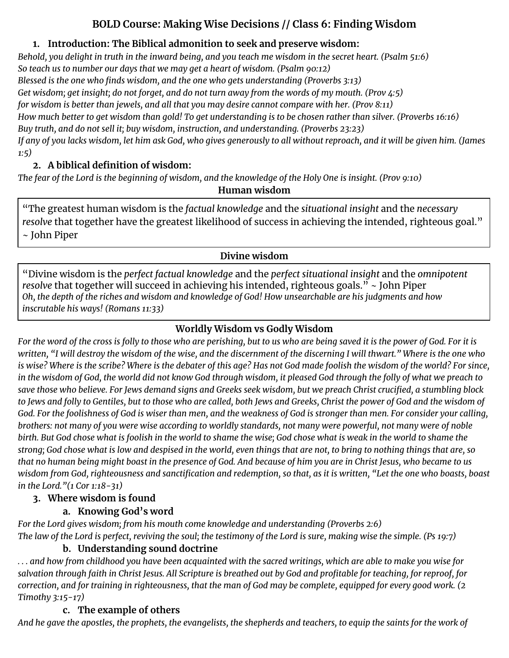# **BOLD Course: Making Wise Decisions // Class 6: Finding Wisdom**

## **1. Introduction: The Biblical admonition to seek and preserve wisdom:**

Behold, you delight in truth in the inward being, and you teach me wisdom in the secret heart. (Psalm 51:6) *So teach us to number our days that we may get a heart of wisdom. (Psalm 90:12) Blessed is the one who finds wisdom, and the one who gets understanding (Proverbs 3:13)* Get wisdom; get insight; do not forget, and do not turn away from the words of my mouth. (Prov  $\frac{4.5}{5}$ ) *for wisdom is better than jewels, and all that you may desire cannot compare with her. (Prov 8:11)* How much better to get wisdom than gold! To get understanding is to be chosen rather than silver. (Proverbs 16:16) *Buy truth, and do not sell it; buy wisdom, instruction, and understanding. (Proverbs 23:23)* If any of you lacks wisdom, let him ask God, who gives generously to all without reproach, and it will be given him. (James *1:5)*

## **2. A biblical definition of wisdom:**

The fear of the Lord is the beginning of wisdom, and the knowledge of the Holy One is insight. (Prov 9:10)

**Human wisdom**

"The greatest human wisdom is the *factual knowledge* and the *situational insight* and the *necessary resolve* that together have the greatest likelihood of success in achieving the intended, righteous goal." ~ John Piper

### **Divine wisdom**

"Divine wisdom is the *perfect factual knowledge* and the *perfect situational insight* and the *omnipotent resolve* that together will succeed in achieving his intended, righteous goals." ~ John Piper Oh, the depth of the riches and wisdom and knowledge of God! How unsearchable are his judgments and how *inscrutable his ways! (Romans 11:33)*

## **Worldly Wisdom vs Godly Wisdom**

For the word of the cross is folly to those who are perishing, but to us who are being saved it is the power of God. For it is written, "I will destroy the wisdom of the wise, and the discernment of the discerning I will thwart." Where is the one who is wise? Where is the scribe? Where is the debater of this age? Has not God made foolish the wisdom of the world? For since, in the wisdom of God, the world did not know God through wisdom, it pleased God through the folly of what we preach to save those who believe. For Jews demand signs and Greeks seek wisdom, but we preach Christ crucified, a stumbling block to Jews and folly to Gentiles, but to those who are called, both Jews and Greeks, Christ the power of God and the wisdom of God. For the foolishness of God is wiser than men, and the weakness of God is stronger than men. For consider your calling, brothers: not many of you were wise according to worldly standards, not many were powerful, not many were of noble birth. But God chose what is foolish in the world to shame the wise; God chose what is weak in the world to shame the strong; God chose what is low and despised in the world, even things that are not, to bring to nothing things that are, so that no human being might boast in the presence of God. And because of him you are in Christ Jesus, who became to us wisdom from God, righteousness and sanctification and redemption, so that, as it is written, "Let the one who boasts, boast *in the Lord."(1 Cor 1:18-31)*

# **3. Where wisdom is found**

# **a. Knowing God's word**

*For the Lord gives wisdom; from his mouth come knowledge and understanding (Proverbs 2:6)* The law of the Lord is perfect, reviving the soul; the testimony of the Lord is sure, making wise the simple. (Ps 19:7)

## **b. Understanding sound doctrine**

... and how from childhood you have been acquainted with the sacred writings, which are able to make you wise for salvation through faith in Christ Jesus. All Scripture is breathed out by God and profitable for teaching, for reproof, for correction, and for training in righteousness, that the man of God may be complete, equipped for every good work. (2 *Timothy 3:15-17)*

# **c. The example of others**

And he gave the apostles, the prophets, the evangelists, the shepherds and teachers, to equip the saints for the work of